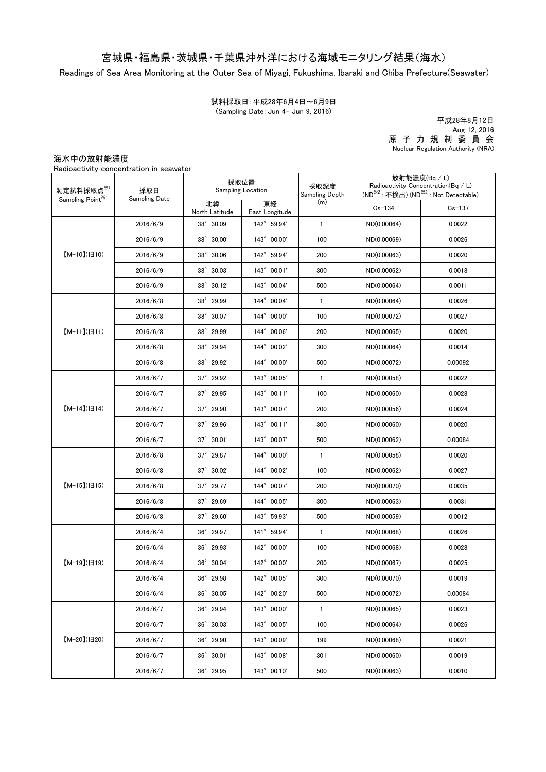## 宮城県・福島県・茨城県・千葉県沖外洋における海域モニタリング結果(海水)

Readings of Sea Area Monitoring at the Outer Sea of Miyagi, Fukushima, Ibaraki and Chiba Prefecture(Seawater)

試料採取日:平成28年6月4日~6月9日 (Sampling Date:Jun 4- Jun 9, 2016)

原 子 力 規 制 委 員 会 Nuclear Regulation Authority (NRA) 平成28年8月12日 Aug 12, 2016

海水中の放射能濃度

Radioactivity concentration in seawater

| 測定試料採取点※1<br>Sampling Point <sup>※1</sup> | 採取日<br>Sampling Date | 採取位置<br><b>Sampling Location</b> |                      | 採取深度<br>Sampling Depth | 放射能濃度(Bq / L)<br>Radioactivity Concentration( $Bq / L$ )<br>(ND <sup>※2</sup> : 不検出) (ND <sup>※2</sup> : Not Detectable) |            |
|-------------------------------------------|----------------------|----------------------------------|----------------------|------------------------|--------------------------------------------------------------------------------------------------------------------------|------------|
|                                           |                      | 北緯<br>North Latitude             | 東経<br>East Longitude | (m)                    | $Cs - 134$                                                                                                               | $Cs - 137$ |
| $[M-10](H10)$                             | 2016/6/9             | 38° 30.09'                       | 142° 59.94'          | $\mathbf{1}$           | ND(0.00064)                                                                                                              | 0.0022     |
|                                           | 2016/6/9             | 38° 30.00'                       | 143° 00.00'          | 100                    | ND(0.00069)                                                                                                              | 0.0026     |
|                                           | 2016/6/9             | 38° 30.06'                       | 142° 59.94'          | 200                    | ND(0.00063)                                                                                                              | 0.0020     |
|                                           | 2016/6/9             | 38° 30.03'                       | 143° 00.01'          | 300                    | ND(0.00062)                                                                                                              | 0.0018     |
|                                           | 2016/6/9             | 38° 30.12'                       | 143° 00.04'          | 500                    | ND(0.00064)                                                                                                              | 0.0011     |
| $[M-11](H11)$                             | 2016/6/8             | 38° 29.99'                       | 144° 00.04'          | $\mathbf{1}$           | ND(0.00064)                                                                                                              | 0.0026     |
|                                           | 2016/6/8             | 38° 30.07'                       | 144° 00.00'          | 100                    | ND(0.00072)                                                                                                              | 0.0027     |
|                                           | 2016/6/8             | 38° 29.99'                       | 144° 00.06'          | 200                    | ND(0.00065)                                                                                                              | 0.0020     |
|                                           | 2016/6/8             | 38° 29.94'                       | 144° 00.02'          | 300                    | ND(0.00064)                                                                                                              | 0.0014     |
|                                           | 2016/6/8             | 38° 29.92'                       | 144° 00.00'          | 500                    | ND(0.00072)                                                                                                              | 0.00092    |
|                                           | 2016/6/7             | $37^{\circ}$ 29.92'              | 143° 00.05'          | $\mathbf{1}$           | ND(0.00058)                                                                                                              | 0.0022     |
| $[M-14]( H14)$                            | 2016/6/7             | 37° 29.95'                       | 143° 00.11'          | 100                    | ND(0.00060)                                                                                                              | 0.0028     |
|                                           | 2016/6/7             | $37^{\circ}$ 29.90'              | 143° 00.07'          | 200                    | ND(0.00056)                                                                                                              | 0.0024     |
|                                           | 2016/6/7             | 37° 29.96'                       | 143° 00.11'          | 300                    | ND(0.00060)                                                                                                              | 0.0020     |
|                                           | 2016/6/7             | $37^{\circ}$ 30.01'              | 143° 00.07'          | 500                    | ND(0.00062)                                                                                                              | 0.00084    |
| $[M-15]$ ( $[H15]$                        | 2016/6/8             | $37^{\circ}$ 29.87               | 144° 00.00'          | $\mathbf{1}$           | ND(0.00058)                                                                                                              | 0.0020     |
|                                           | 2016/6/8             | 37° 30.02'                       | 144° 00.02'          | 100                    | ND(0.00062)                                                                                                              | 0.0027     |
|                                           | 2016/6/8             | $37^{\circ}$ 29.77'              | 144° 00.07'          | 200                    | ND(0.00070)                                                                                                              | 0.0035     |
|                                           | 2016/6/8             | 37° 29.69'                       | 144° 00.05'          | 300                    | ND(0.00063)                                                                                                              | 0.0031     |
|                                           | 2016/6/8             | $37^{\circ}$ 29.60               | 143° 59.93'          | 500                    | ND(0.00059)                                                                                                              | 0.0012     |
| $[M-19](H19)$                             | 2016/6/4             | 36° 29.97'                       | 141° 59.94'          | $\mathbf{1}$           | ND(0.00068)                                                                                                              | 0.0026     |
|                                           | 2016/6/4             | 36° 29.93'                       | 142° 00.00'          | 100                    | ND(0.00068)                                                                                                              | 0.0028     |
|                                           | 2016/6/4             | 36° 30.04'                       | 142° 00.00'          | 200                    | ND(0.00067)                                                                                                              | 0.0025     |
|                                           | 2016/6/4             | 36° 29.98'                       | 142° 00.05'          | 300                    | ND(0.00070)                                                                                                              | 0.0019     |
|                                           | 2016/6/4             | 36° 30.05'                       | 142° 00.20'          | 500                    | ND(0.00072)                                                                                                              | 0.00084    |
| $[M-20](H20)$                             | 2016/6/7             | 36° 29.94'                       | 143° 00.00'          | $\mathbf{1}$           | ND(0.00065)                                                                                                              | 0.0023     |
|                                           | 2016/6/7             | 36° 30.03'                       | 143° 00.05'          | 100                    | ND(0.00064)                                                                                                              | 0.0026     |
|                                           | 2016/6/7             | 36° 29.90'                       | 143° 00.09'          | 199                    | ND(0.00068)                                                                                                              | 0.0021     |
|                                           | 2016/6/7             | 36° 30.01'                       | 143° 00.08'          | 301                    | ND(0.00060)                                                                                                              | 0.0019     |
|                                           | 2016/6/7             | 36° 29.95'                       | 143° 00.10'          | 500                    | ND(0.00063)                                                                                                              | 0.0010     |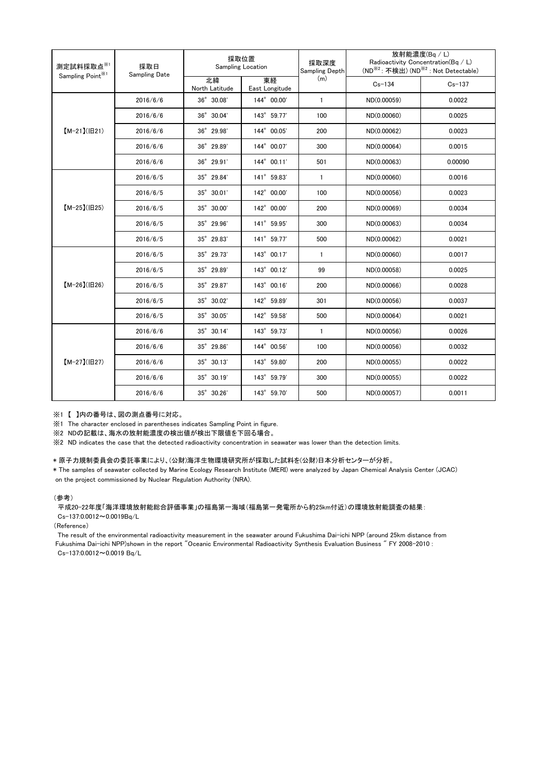| 測定試料採取点※1<br>Sampling Point <sup>※1</sup> | 採取日<br><b>Sampling Date</b> | 採取位置<br>Sampling Location |                      | 採取深度<br>Sampling Depth | 放射能濃度(Bq / L)<br>Radioactivity Concentration(Bq / L)<br>(ND <sup>※2</sup> : 不検出) (ND <sup>※2</sup> : Not Detectable) |            |
|-------------------------------------------|-----------------------------|---------------------------|----------------------|------------------------|----------------------------------------------------------------------------------------------------------------------|------------|
|                                           |                             | 北緯<br>North Latitude      | 東経<br>East Longitude | (m)                    | $Cs - 134$                                                                                                           | $Cs - 137$ |
| $[M-21](H21)$                             | 2016/6/6                    | $36^\circ$ $30.08'$       | 144° 00.00'          | $\mathbf{1}$           | ND(0.00059)                                                                                                          | 0.0022     |
|                                           | 2016/6/6                    | 36° 30.04'                | 143° 59.77'          | 100                    | ND(0.00060)                                                                                                          | 0.0025     |
|                                           | 2016/6/6                    | 36° 29.98'                | 144° 00.05'          | 200                    | ND(0.00062)                                                                                                          | 0.0023     |
|                                           | 2016/6/6                    | 36° 29.89'                | 144° 00.07'          | 300                    | ND(0.00064)                                                                                                          | 0.0015     |
|                                           | 2016/6/6                    | $36^\circ$ 29.91'         | 144° 00.11'          | 501                    | ND(0.00063)                                                                                                          | 0.00090    |
| $[M-25](H25)$                             | 2016/6/5                    | 35° 29.84'                | 141° 59.83'          | $\mathbf{1}$           | ND(0.00060)                                                                                                          | 0.0016     |
|                                           | 2016/6/5                    | 35° 30.01'                | 142° 00.00'          | 100                    | ND(0.00056)                                                                                                          | 0.0023     |
|                                           | 2016/6/5                    | 35° 30.00'                | 142° 00.00'          | 200                    | ND(0.00069)                                                                                                          | 0.0034     |
|                                           | 2016/6/5                    | $35^{\circ}$ 29.96'       | 141° 59.95'          | 300                    | ND(0.00063)                                                                                                          | 0.0034     |
|                                           | 2016/6/5                    | 35° 29.83'                | 141° 59.77'          | 500                    | ND(0.00062)                                                                                                          | 0.0021     |
| $[M-26](H26)$                             | 2016/6/5                    | 35° 29.73'                | 143° 00.17'          | $\mathbf{1}$           | ND(0.00060)                                                                                                          | 0.0017     |
|                                           | 2016/6/5                    | 35° 29.89'                | 143° 00.12'          | 99                     | ND(0.00058)                                                                                                          | 0.0025     |
|                                           | 2016/6/5                    | 35° 29.87'                | 143° 00.16'          | 200                    | ND(0.00066)                                                                                                          | 0.0028     |
|                                           | 2016/6/5                    | 35° 30.02'                | 142° 59.89'          | 301                    | ND(0.00056)                                                                                                          | 0.0037     |
|                                           | 2016/6/5                    | 35° 30.05'                | 142° 59.58'          | 500                    | ND(0.00064)                                                                                                          | 0.0021     |
| $[M-27](B27)$                             | 2016/6/6                    | 35° 30.14'                | 143° 59.73'          | $\mathbf{1}$           | ND(0.00056)                                                                                                          | 0.0026     |
|                                           | 2016/6/6                    | 35° 29.86'                | 144° 00.56'          | 100                    | ND(0.00056)                                                                                                          | 0.0032     |
|                                           | 2016/6/6                    | 35° 30.13'                | 143° 59.80'          | 200                    | ND(0.00055)                                                                                                          | 0.0022     |
|                                           | 2016/6/6                    | 35° 30.19'                | 143° 59.79'          | 300                    | ND(0.00055)                                                                                                          | 0.0022     |
|                                           | 2016/6/6                    | 35° 30.26'                | 143° 59.70'          | 500                    | ND(0.00057)                                                                                                          | 0.0011     |

※1 【 】内の番号は、図の測点番号に対応。

※1 The character enclosed in parentheses indicates Sampling Point in figure.

...<br>※2 NDの記載は、海水の放射能濃度の検出値が検出下限値を下回る場合。

※2 ND indicates the case that the detected radioactivity concentration in seawater was lower than the detection limits.

## \* 原子力規制委員会の委託事業により、(公財)海洋生物環境研究所が採取した試料を(公財)日本分析センターが分析。

on the project commissioned by Nuclear Regulation Authority (NRA). \* The samples of seawater collected by Marine Ecology Research Institute (MERI) were analyzed by Japan Chemical Analysis Center (JCAC)

## (参考)

平成20-22年度「海洋環境放射能総合評価事業」の福島第一海域(福島第一発電所から約25km付近)の環境放射能調査の結果: Cs-137:0.0012~0.0019Bq/L

(Reference)

The result of the environmental radioactivity measurement in the seawater around Fukushima Dai-ichi NPP (around 25km distance from Fukushima Dai-ichi NPP)shown in the report "Oceanic Environmental Radioactivity Synthesis Evaluation Business " FY 2008-2010 : Cs-137:0.0012~0.0019 Bq/L